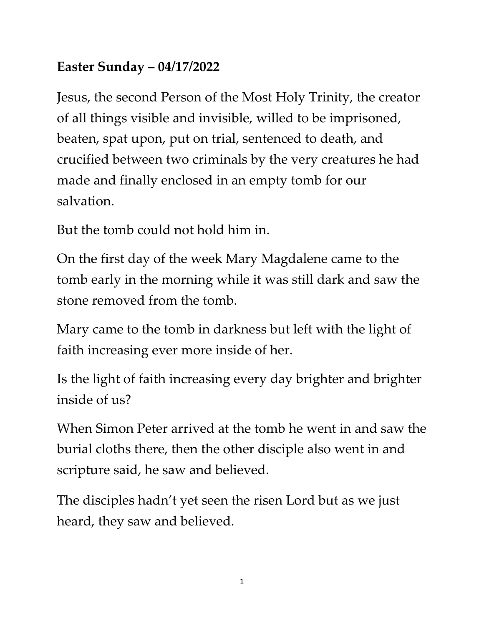## **Easter Sunday – 04/17/2022**

Jesus, the second Person of the Most Holy Trinity, the creator of all things visible and invisible, willed to be imprisoned, beaten, spat upon, put on trial, sentenced to death, and crucified between two criminals by the very creatures he had made and finally enclosed in an empty tomb for our salvation.

But the tomb could not hold him in.

On the first day of the week Mary Magdalene came to the tomb early in the morning while it was still dark and saw the stone removed from the tomb.

Mary came to the tomb in darkness but left with the light of faith increasing ever more inside of her.

Is the light of faith increasing every day brighter and brighter inside of us?

When Simon Peter arrived at the tomb he went in and saw the burial cloths there, then the other disciple also went in and scripture said, he saw and believed.

The disciples hadn't yet seen the risen Lord but as we just heard, they saw and believed.